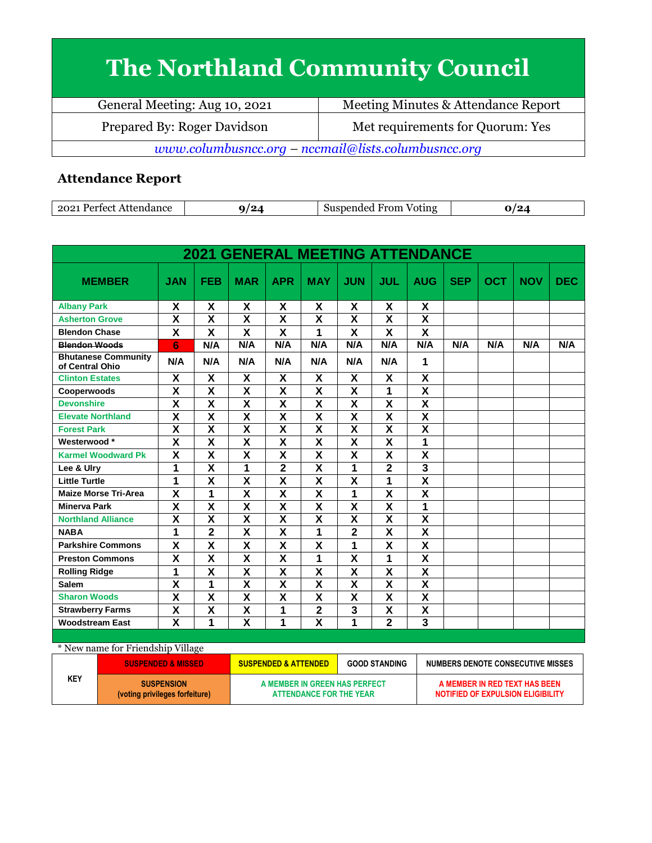## **The Northland Community Council**

| General Meeting: Aug 10, 2021                       | Meeting Minutes & Attendance Report |  |  |  |
|-----------------------------------------------------|-------------------------------------|--|--|--|
| Prepared By: Roger Davidson                         | Met requirements for Quorum: Yes    |  |  |  |
| www.columbusncc.org - nccmail@lists.columbusncc.org |                                     |  |  |  |

## **Attendance Report**

| $202^*$<br>Attendance<br>Perfect | '24 | From<br>Suspended<br>Voting<br>3118 | יז ו<br>. .<br>-- |
|----------------------------------|-----|-------------------------------------|-------------------|

|                                               |                         |                         | <b>2021 GENERAL MEETING ATTENDANCE</b> |                         |                           |                         |                         |                         |            |     |            |            |
|-----------------------------------------------|-------------------------|-------------------------|----------------------------------------|-------------------------|---------------------------|-------------------------|-------------------------|-------------------------|------------|-----|------------|------------|
| <b>MEMBER</b>                                 | <b>JAN</b>              | <b>FEB</b>              | <b>MAR</b>                             | <b>APR</b>              | <b>MAY</b>                | <b>JUN</b>              | JUL                     | <b>AUG</b>              | <b>SEP</b> | OCT | <b>NOV</b> | <b>DEC</b> |
| <b>Albany Park</b>                            | X                       | Χ                       | X                                      | X                       | X                         | X                       | X                       | X                       |            |     |            |            |
| <b>Asherton Grove</b>                         | $\overline{\mathbf{x}}$ | $\overline{\mathsf{x}}$ | $\overline{\mathbf{x}}$                | $\overline{\mathsf{x}}$ | $\overline{\mathbf{x}}$   | $\overline{\mathsf{x}}$ | $\overline{\mathbf{x}}$ | $\overline{\mathsf{x}}$ |            |     |            |            |
| <b>Blendon Chase</b>                          | X                       | X                       | X                                      | X                       | 1                         | $\mathsf{\overline{X}}$ | X                       | X                       |            |     |            |            |
| <b>Blendon Woods</b>                          | 6                       | N/A                     | N/A                                    | N/A                     | N/A                       | N/A                     | N/A                     | N/A                     | N/A        | N/A | N/A        | N/A        |
| <b>Bhutanese Community</b><br>of Central Ohio | N/A                     | N/A                     | N/A                                    | N/A                     | N/A                       | N/A                     | N/A                     | 1                       |            |     |            |            |
| <b>Clinton Estates</b>                        | X                       | X                       | X                                      | X                       | X                         | X                       | X                       | X                       |            |     |            |            |
| Cooperwoods                                   | X                       | X                       | X                                      | X                       | $\boldsymbol{\mathsf{x}}$ | X                       | 1                       | $\overline{\mathsf{x}}$ |            |     |            |            |
| <b>Devonshire</b>                             | $\overline{\mathsf{x}}$ | $\overline{\textsf{x}}$ | $\overline{\mathbf{x}}$                | $\overline{\mathsf{x}}$ | $\overline{\mathbf{x}}$   | $\overline{\mathsf{x}}$ | $\overline{\mathsf{x}}$ | $\overline{\mathsf{x}}$ |            |     |            |            |
| <b>Elevate Northland</b>                      | X                       | X                       | X                                      | X                       | X                         | X                       | X                       | X                       |            |     |            |            |
| <b>Forest Park</b>                            | $\overline{\mathbf{x}}$ | $\overline{\mathsf{x}}$ | $\overline{\mathbf{x}}$                | $\overline{\mathsf{x}}$ | $\overline{\mathbf{x}}$   | $\overline{\mathsf{x}}$ | $\overline{\mathsf{x}}$ | $\overline{\mathsf{x}}$ |            |     |            |            |
| Westerwood*                                   | X                       | $\overline{\mathsf{x}}$ | X                                      | $\overline{\mathsf{x}}$ | X                         | $\overline{\mathsf{x}}$ | X                       | 1                       |            |     |            |            |
| <b>Karmel Woodward Pk</b>                     | $\mathsf{x}$            | X                       | X                                      | X                       | $\boldsymbol{\mathsf{x}}$ | X                       | X                       | X                       |            |     |            |            |
| Lee & Ulry                                    | 1                       | $\overline{\mathsf{x}}$ | 1                                      | $\overline{2}$          | X                         | 1                       | $\overline{2}$          | 3                       |            |     |            |            |
| <b>Little Turtle</b>                          | 1                       | $\overline{\mathsf{x}}$ | $\overline{\mathsf{x}}$                | $\overline{\mathsf{x}}$ | $\overline{\mathbf{x}}$   | $\overline{\mathsf{x}}$ | 1                       | $\overline{\mathsf{x}}$ |            |     |            |            |
| <b>Maize Morse Tri-Area</b>                   | $\overline{\mathsf{x}}$ | $\overline{1}$          | $\overline{\mathsf{x}}$                | $\overline{\mathsf{x}}$ | $\overline{\mathsf{x}}$   | $\overline{1}$          | $\overline{\mathsf{x}}$ | $\overline{\mathsf{x}}$ |            |     |            |            |
| <b>Minerva Park</b>                           | X                       | X                       | X                                      | X                       | X                         | X                       | X                       | 1                       |            |     |            |            |
| <b>Northland Alliance</b>                     | $\overline{\mathsf{x}}$ | $\overline{\mathsf{x}}$ | $\overline{\mathsf{x}}$                | $\overline{\mathsf{x}}$ | $\overline{\mathsf{x}}$   | $\overline{\mathsf{x}}$ | $\overline{\mathsf{x}}$ | $\overline{\mathsf{x}}$ |            |     |            |            |
| <b>NABA</b>                                   | 1                       | $\overline{2}$          | $\overline{\mathsf{x}}$                | $\overline{\mathsf{x}}$ | 1                         | $\overline{2}$          | $\overline{\mathsf{x}}$ | $\overline{\mathsf{x}}$ |            |     |            |            |
| <b>Parkshire Commons</b>                      | X                       | X                       | X                                      | X                       | X                         | 1                       | X                       | X                       |            |     |            |            |
| <b>Preston Commons</b>                        | X                       | X                       | X                                      | X                       | 1                         | X                       | 1                       | X                       |            |     |            |            |
| <b>Rolling Ridge</b>                          | 1                       | $\overline{\mathbf{x}}$ | $\overline{\mathsf{x}}$                | $\overline{\mathbf{X}}$ | $\overline{\mathbf{X}}$   | $\overline{\mathsf{x}}$ | X                       | $\overline{\mathsf{x}}$ |            |     |            |            |
| <b>Salem</b>                                  | X                       | 1                       | $\overline{\mathsf{x}}$                | $\overline{\mathbf{x}}$ | $\overline{\mathbf{X}}$   | $\overline{\mathbf{x}}$ | $\overline{\mathsf{x}}$ | $\overline{\mathbf{x}}$ |            |     |            |            |
| <b>Sharon Woods</b>                           | $\overline{\mathbf{X}}$ | $\overline{\mathbf{x}}$ | $\overline{\mathsf{x}}$                | $\overline{\mathbf{x}}$ | $\overline{\mathbf{X}}$   | $\overline{\mathsf{x}}$ | $\overline{\mathsf{x}}$ | $\overline{\mathsf{x}}$ |            |     |            |            |
| <b>Strawberry Farms</b>                       | $\overline{\mathbf{X}}$ | $\overline{\mathbf{x}}$ | $\overline{\mathsf{x}}$                | 1                       | $\overline{\mathbf{2}}$   | 3                       | $\overline{\mathsf{x}}$ | $\overline{\mathsf{x}}$ |            |     |            |            |
| <b>Woodstream East</b>                        | $\overline{\mathbf{x}}$ | 1                       | $\overline{\mathbf{x}}$                | 1                       | $\overline{\mathsf{x}}$   | 1                       | $\overline{2}$          | 3                       |            |     |            |            |

\* New name for Friendship Village

|     | <b>SUSPENDED &amp; MISSED</b>                       | <b>GOOD STANDING</b><br><b>SUSPENDED &amp; ATTENDED</b>  |  | NUMBERS DENOTE CONSECUTIVE MISSES                                  |  |  |
|-----|-----------------------------------------------------|----------------------------------------------------------|--|--------------------------------------------------------------------|--|--|
| KEY | <b>SUSPENSION</b><br>(voting privileges forfeiture) | A MEMBER IN GREEN HAS PERFECT<br>ATTENDANCE FOR THE YEAR |  | A MEMBER IN RED TEXT HAS BEEN<br>NOTIFIED OF EXPULSION ELIGIBILITY |  |  |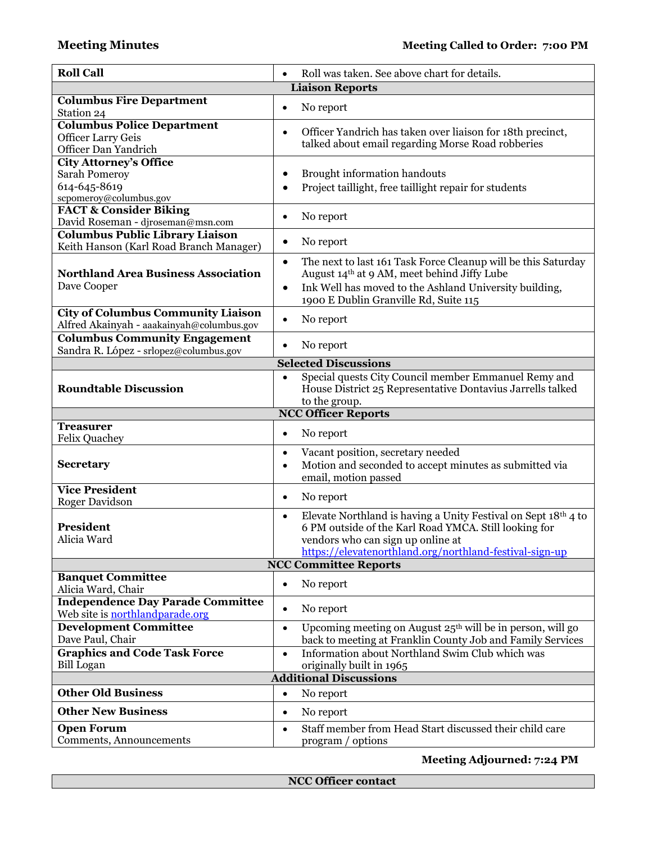| <b>Roll Call</b>                             | Roll was taken. See above chart for details.                                                                            |
|----------------------------------------------|-------------------------------------------------------------------------------------------------------------------------|
|                                              | <b>Liaison Reports</b>                                                                                                  |
| <b>Columbus Fire Department</b>              |                                                                                                                         |
| Station 24                                   | No report<br>$\bullet$                                                                                                  |
| <b>Columbus Police Department</b>            |                                                                                                                         |
| <b>Officer Larry Geis</b>                    | Officer Yandrich has taken over liaison for 18th precinct,<br>$\bullet$                                                 |
| Officer Dan Yandrich                         | talked about email regarding Morse Road robberies                                                                       |
| City Attorney's Office                       |                                                                                                                         |
| <b>Sarah Pomeroy</b>                         | Brought information handouts<br>$\bullet$                                                                               |
| 614-645-8619                                 | Project taillight, free taillight repair for students<br>$\bullet$                                                      |
| scpomeroy@columbus.gov                       |                                                                                                                         |
| <b>FACT &amp; Consider Biking</b>            | No report<br>٠                                                                                                          |
| David Roseman - djroseman@msn.com            |                                                                                                                         |
| <b>Columbus Public Library Liaison</b>       | No report                                                                                                               |
| Keith Hanson (Karl Road Branch Manager)      |                                                                                                                         |
|                                              | The next to last 161 Task Force Cleanup will be this Saturday<br>$\bullet$                                              |
| <b>Northland Area Business Association</b>   | August 14th at 9 AM, meet behind Jiffy Lube                                                                             |
| Dave Cooper                                  | Ink Well has moved to the Ashland University building,<br>$\bullet$                                                     |
|                                              | 1900 E Dublin Granville Rd, Suite 115                                                                                   |
| <b>City of Columbus Community Liaison</b>    | No report<br>$\bullet$                                                                                                  |
| Alfred Akainyah - aaakainyah@columbus.gov    |                                                                                                                         |
| <b>Columbus Community Engagement</b>         | No report<br>$\bullet$                                                                                                  |
| Sandra R. López - srlopez@columbus.gov       |                                                                                                                         |
|                                              | <b>Selected Discussions</b>                                                                                             |
|                                              | Special quests City Council member Emmanuel Remy and<br>$\bullet$                                                       |
| <b>Roundtable Discussion</b>                 | House District 25 Representative Dontavius Jarrells talked                                                              |
|                                              | to the group.                                                                                                           |
|                                              |                                                                                                                         |
|                                              | <b>NCC Officer Reports</b>                                                                                              |
| <b>Treasurer</b>                             | No report<br>$\bullet$                                                                                                  |
| <b>Felix Quachey</b>                         |                                                                                                                         |
|                                              | Vacant position, secretary needed<br>$\bullet$                                                                          |
| <b>Secretary</b>                             | Motion and seconded to accept minutes as submitted via<br>$\bullet$                                                     |
| <b>Vice President</b>                        | email, motion passed                                                                                                    |
| Roger Davidson                               | No report<br>$\bullet$                                                                                                  |
|                                              | $\bullet$                                                                                                               |
| <b>President</b>                             | Elevate Northland is having a Unity Festival on Sept 18th 4 to<br>6 PM outside of the Karl Road YMCA. Still looking for |
| Alicia Ward                                  | vendors who can sign up online at                                                                                       |
|                                              | https://elevatenorthland.org/northland-festival-sign-up                                                                 |
|                                              | <b>NCC Committee Reports</b>                                                                                            |
| <b>Banquet Committee</b>                     |                                                                                                                         |
| Alicia Ward, Chair                           | No report<br>$\bullet$                                                                                                  |
| <b>Independence Day Parade Committee</b>     | No report<br>$\bullet$                                                                                                  |
| Web site is <b>northlandparade.org</b>       |                                                                                                                         |
| <b>Development Committee</b>                 | Upcoming meeting on August 25 <sup>th</sup> will be in person, will go<br>$\bullet$                                     |
| Dave Paul, Chair                             | back to meeting at Franklin County Job and Family Services                                                              |
| <b>Graphics and Code Task Force</b>          | Information about Northland Swim Club which was<br>$\bullet$                                                            |
| <b>Bill</b> Logan                            | originally built in 1965                                                                                                |
|                                              | <b>Additional Discussions</b>                                                                                           |
| <b>Other Old Business</b>                    | No report<br>$\bullet$                                                                                                  |
| <b>Other New Business</b>                    | No report<br>$\bullet$                                                                                                  |
| <b>Open Forum</b><br>Comments, Announcements | Staff member from Head Start discussed their child care<br>$\bullet$<br>program / options                               |

**Meeting Adjourned: 7:24 PM**

**NCC Officer contact**